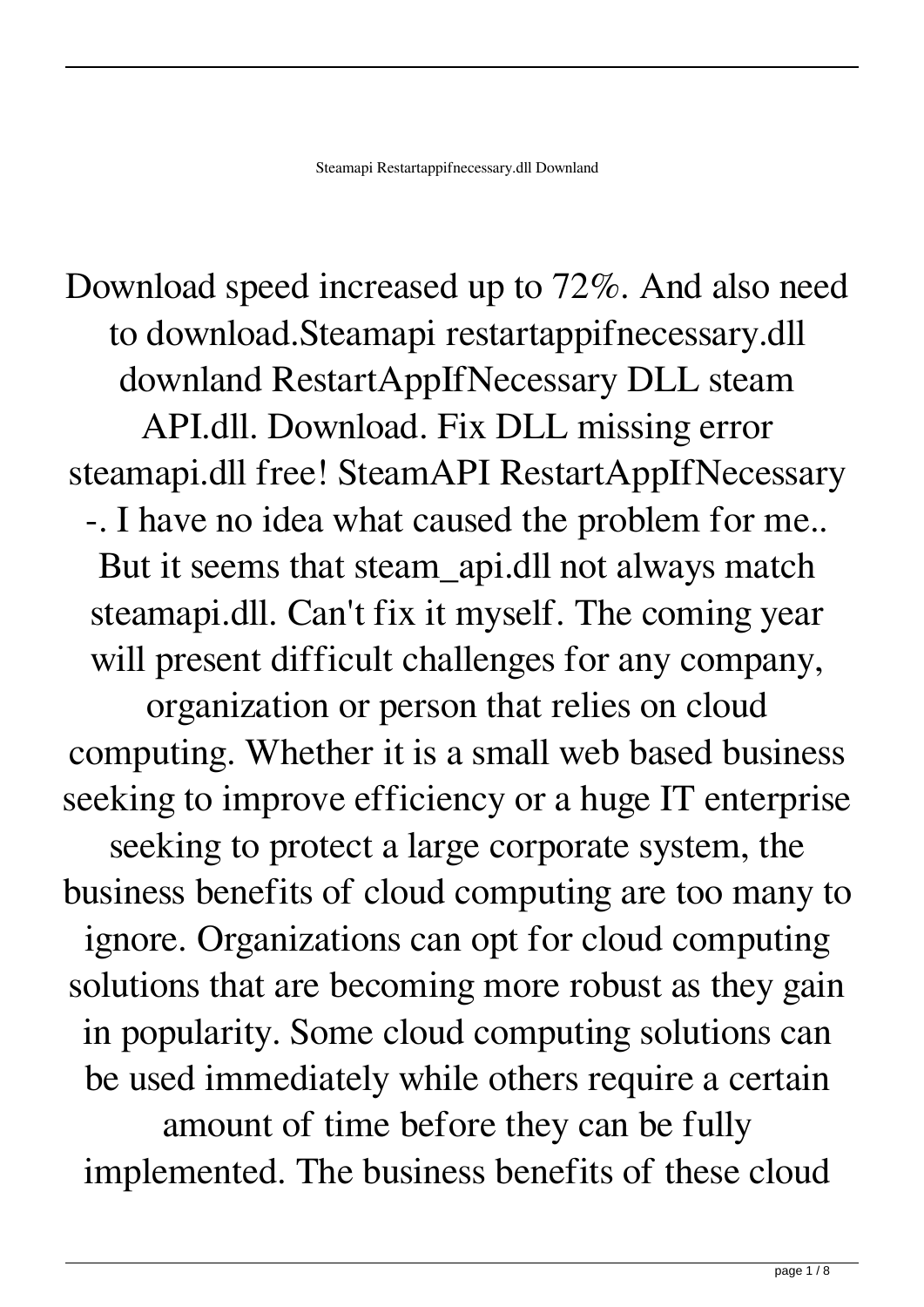Download speed increased up to 72%. And also need to download.Steamapi restartappifnecessary.dll downland RestartAppIfNecessary DLL steam API.dll. Download. Fix DLL missing error steamapi.dll free! SteamAPI RestartAppIfNecessary -. I have no idea what caused the problem for me.. But it seems that steam\_api.dll not always match steamapi.dll. Can't fix it myself. The coming year will present difficult challenges for any company, organization or person that relies on cloud computing. Whether it is a small web based business seeking to improve efficiency or a huge IT enterprise seeking to protect a large corporate system, the business benefits of cloud computing are too many to ignore. Organizations can opt for cloud computing solutions that are becoming more robust as they gain in popularity. Some cloud computing solutions can be used immediately while others require a certain amount of time before they can be fully implemented. The business benefits of these cloud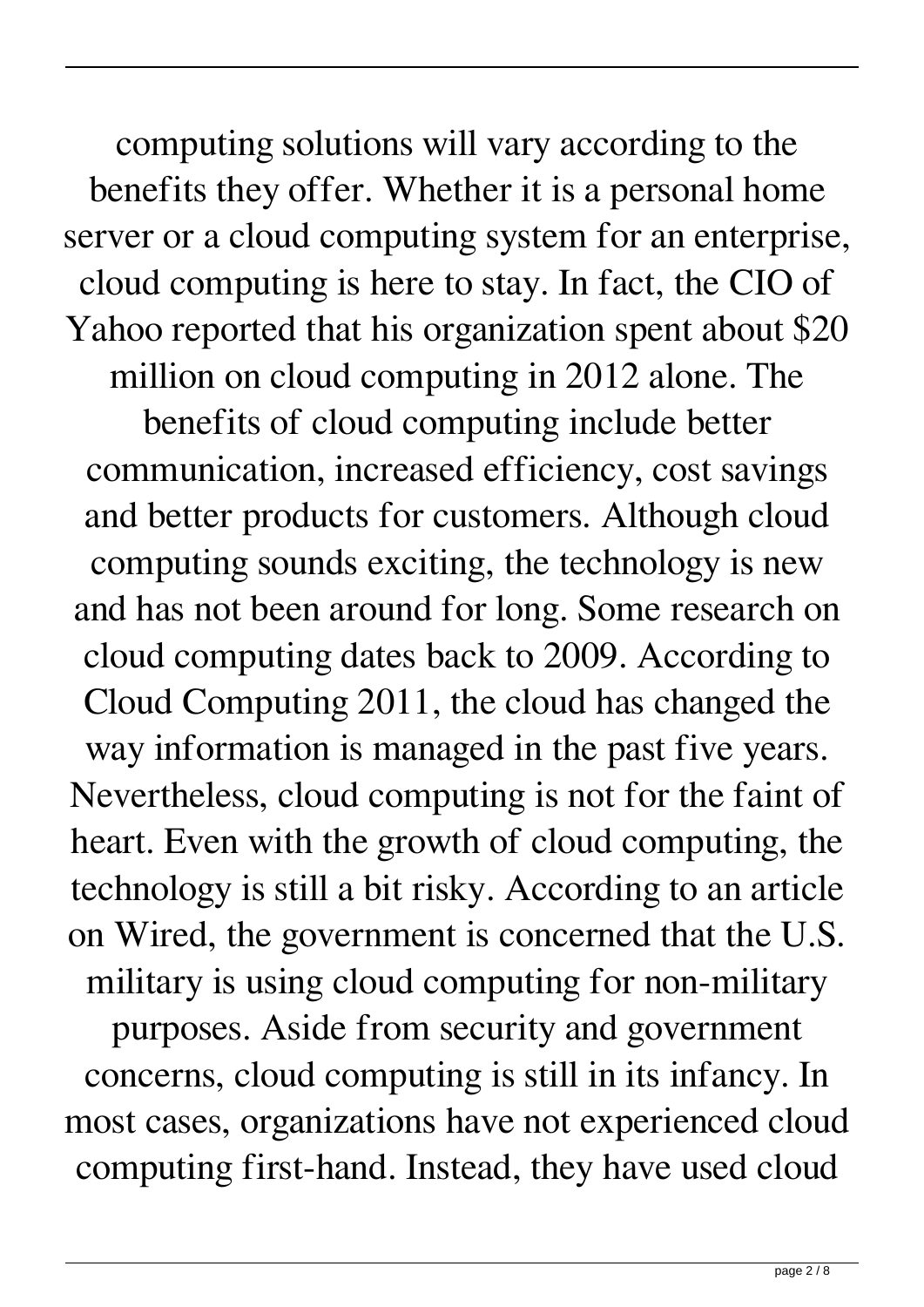computing solutions will vary according to the benefits they offer. Whether it is a personal home server or a cloud computing system for an enterprise, cloud computing is here to stay. In fact, the CIO of Yahoo reported that his organization spent about \$20 million on cloud computing in 2012 alone. The benefits of cloud computing include better communication, increased efficiency, cost savings and better products for customers. Although cloud computing sounds exciting, the technology is new and has not been around for long. Some research on cloud computing dates back to 2009. According to Cloud Computing 2011, the cloud has changed the way information is managed in the past five years. Nevertheless, cloud computing is not for the faint of heart. Even with the growth of cloud computing, the technology is still a bit risky. According to an article on Wired, the government is concerned that the U.S. military is using cloud computing for non-military purposes. Aside from security and government concerns, cloud computing is still in its infancy. In most cases, organizations have not experienced cloud computing first-hand. Instead, they have used cloud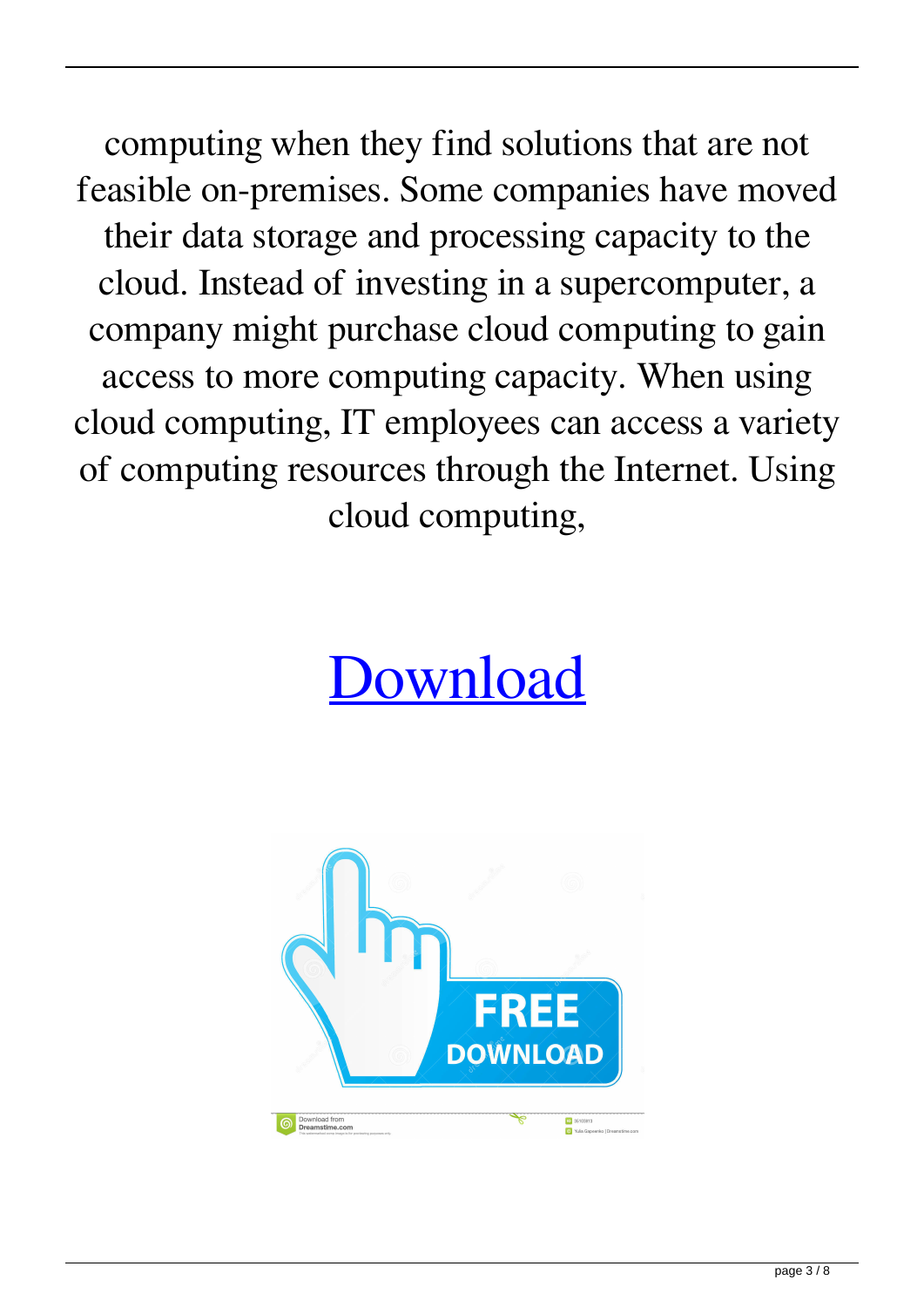computing when they find solutions that are not feasible on-premises. Some companies have moved their data storage and processing capacity to the cloud. Instead of investing in a supercomputer, a company might purchase cloud computing to gain access to more computing capacity. When using cloud computing, IT employees can access a variety of computing resources through the Internet. Using cloud computing,

## [Download](http://evacdir.com/mrizalm?cheapskate=kippered&daytrana=ZG93bmxvYWR8ZDNxTW05aGJIeDhNVFkxTWpjME1EZzJObng4TWpVM05IeDhLRTBwSUhKbFlXUXRZbXh2WnlCYlJtRnpkQ0JIUlU1ZA&mahagony=naka.U3RlYW1hcGkgcmVzdGFydGFwcGlmbmVjZXNzYXJ5LmRsbCBkb3dubGFuZAU3R.renewed)

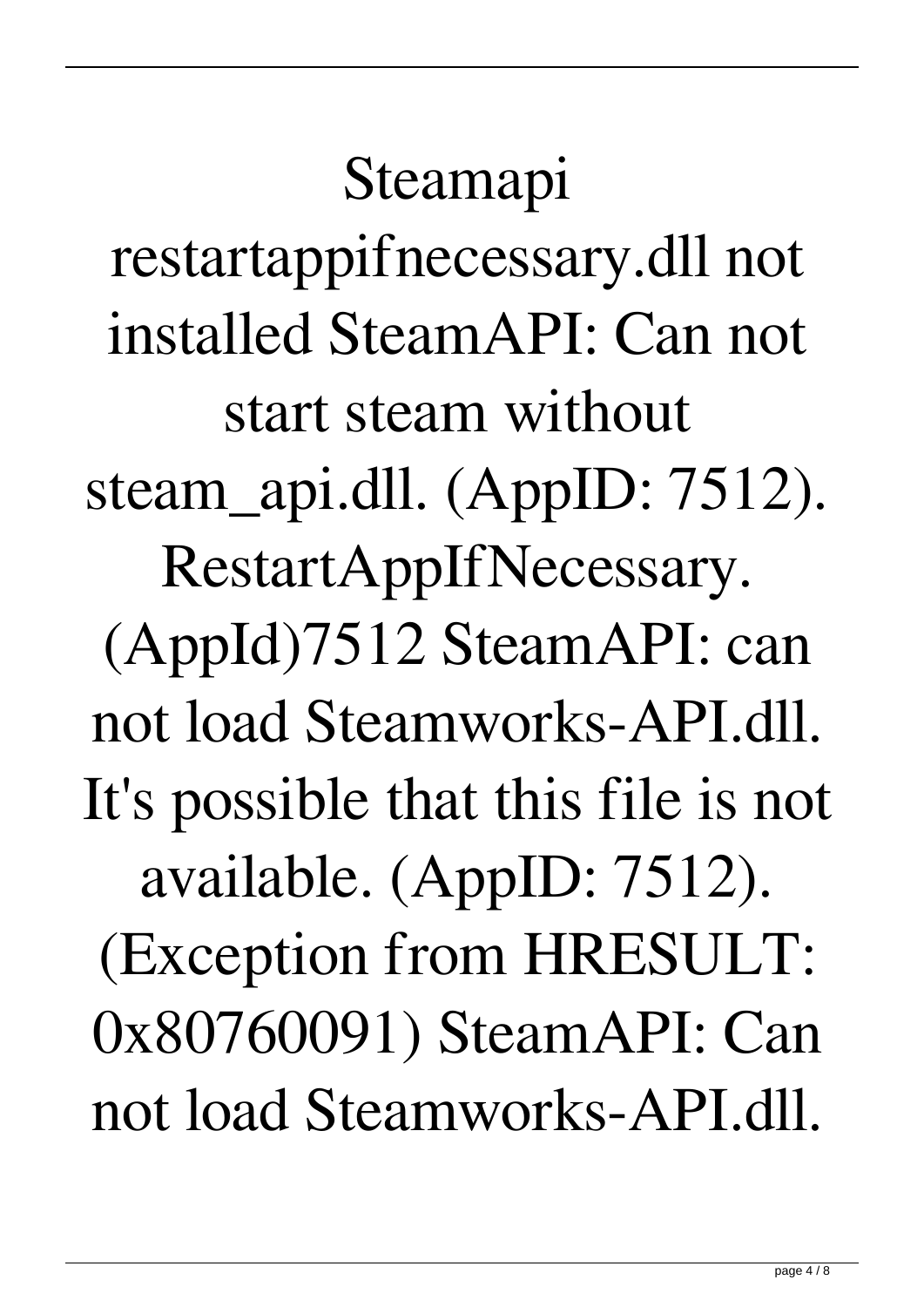Steamapi restartappifnecessary.dll not installed SteamAPI: Can not start steam without steam\_api.dll. (AppID: 7512). RestartAppIfNecessary. (AppId)7512 SteamAPI: can not load Steamworks-API.dll. It's possible that this file is not available. (AppID: 7512). (Exception from HRESULT: 0x80760091) SteamAPI: Can not load Steamworks-API.dll.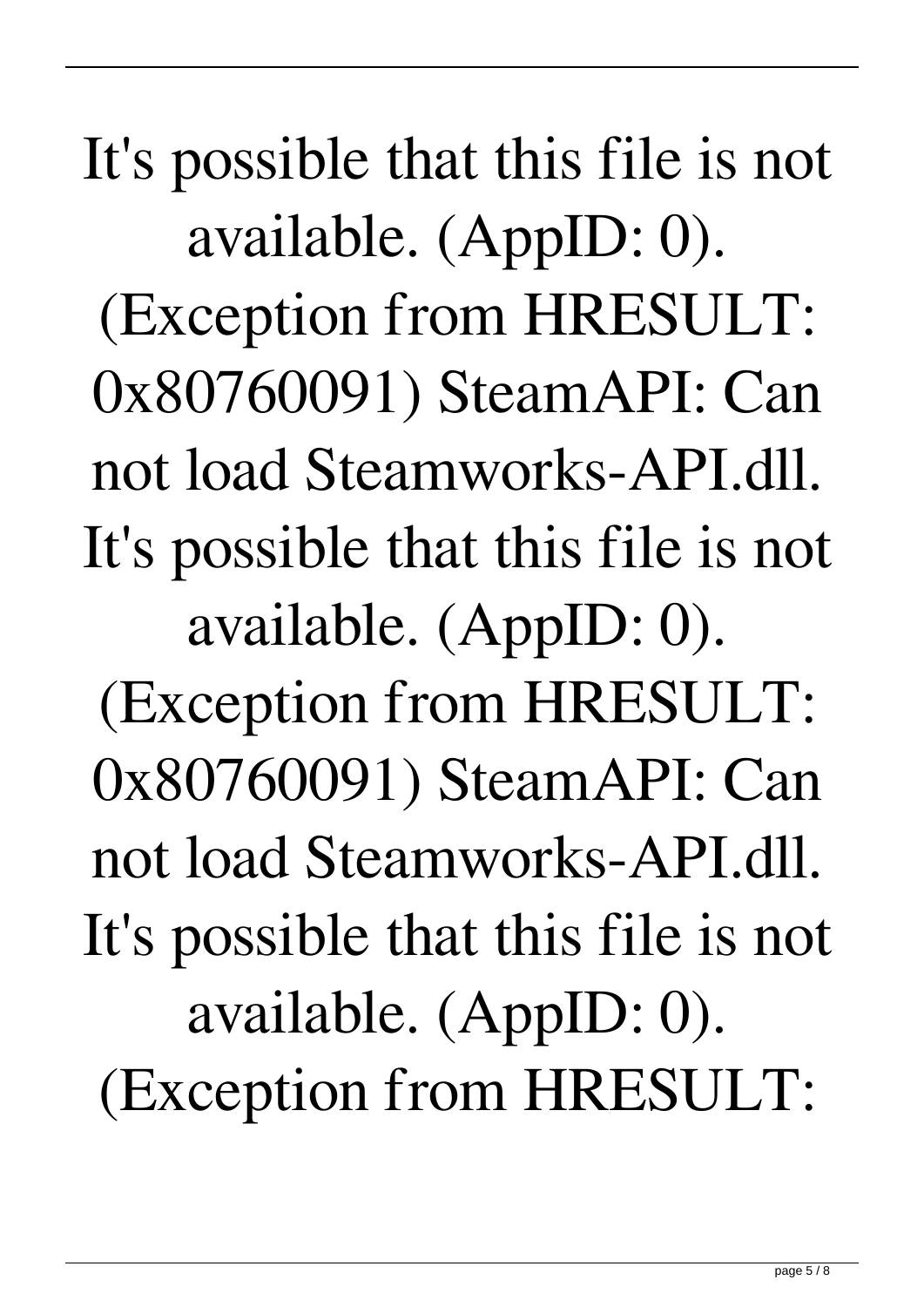It's possible that this file is not available. (AppID: 0). (Exception from HRESULT: 0x80760091) SteamAPI: Can not load Steamworks-API.dll. It's possible that this file is not available. (AppID: 0). (Exception from HRESULT: 0x80760091) SteamAPI: Can not load Steamworks-API.dll. It's possible that this file is not available. (AppID: 0). (Exception from HRESULT: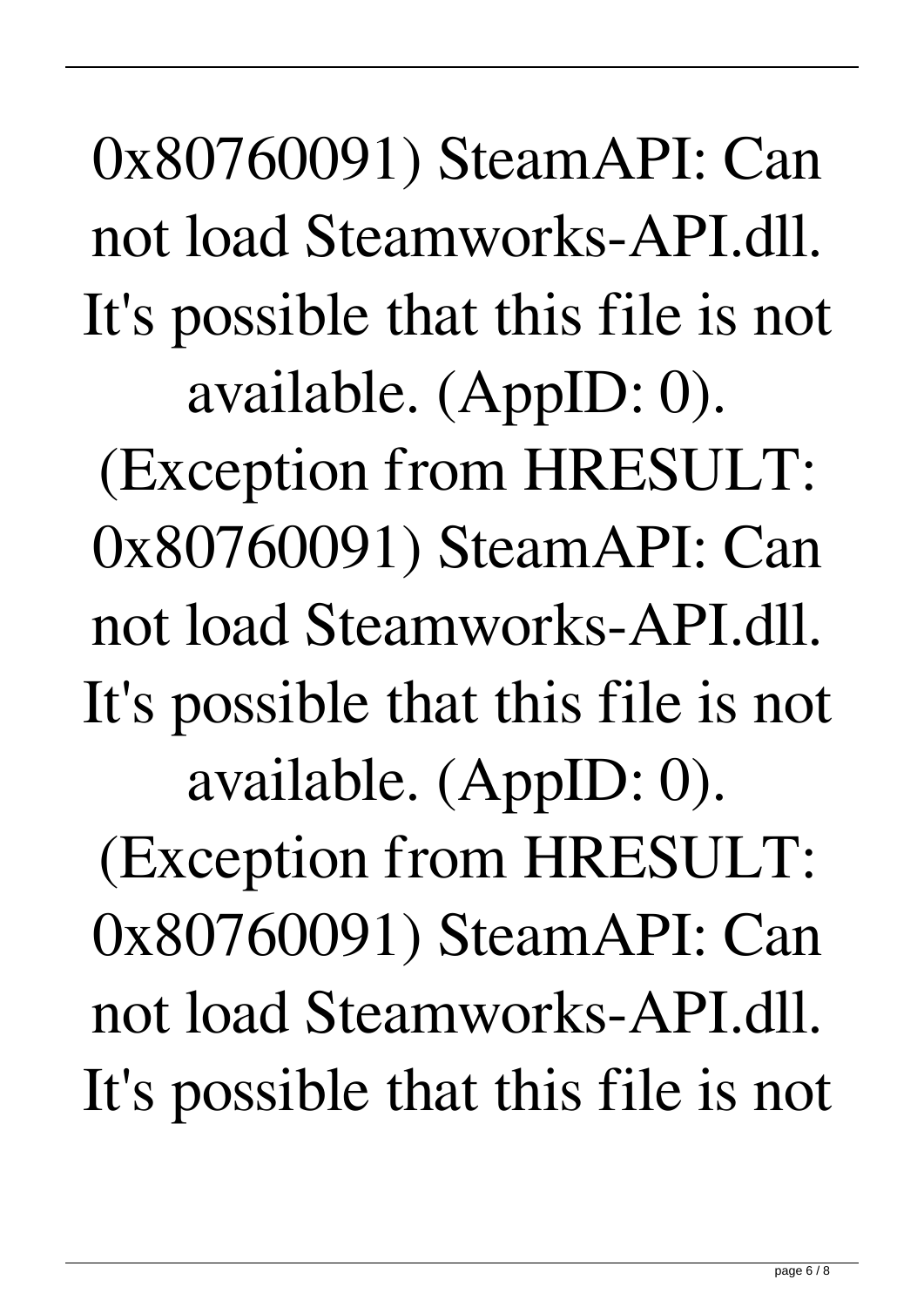0x80760091) SteamAPI: Can not load Steamworks-API.dll. It's possible that this file is not available. (AppID: 0).

(Exception from HRESULT: 0x80760091) SteamAPI: Can not load Steamworks-API.dll. It's possible that this file is not available. (AppID: 0).

(Exception from HRESULT: 0x80760091) SteamAPI: Can not load Steamworks-API.dll. It's possible that this file is not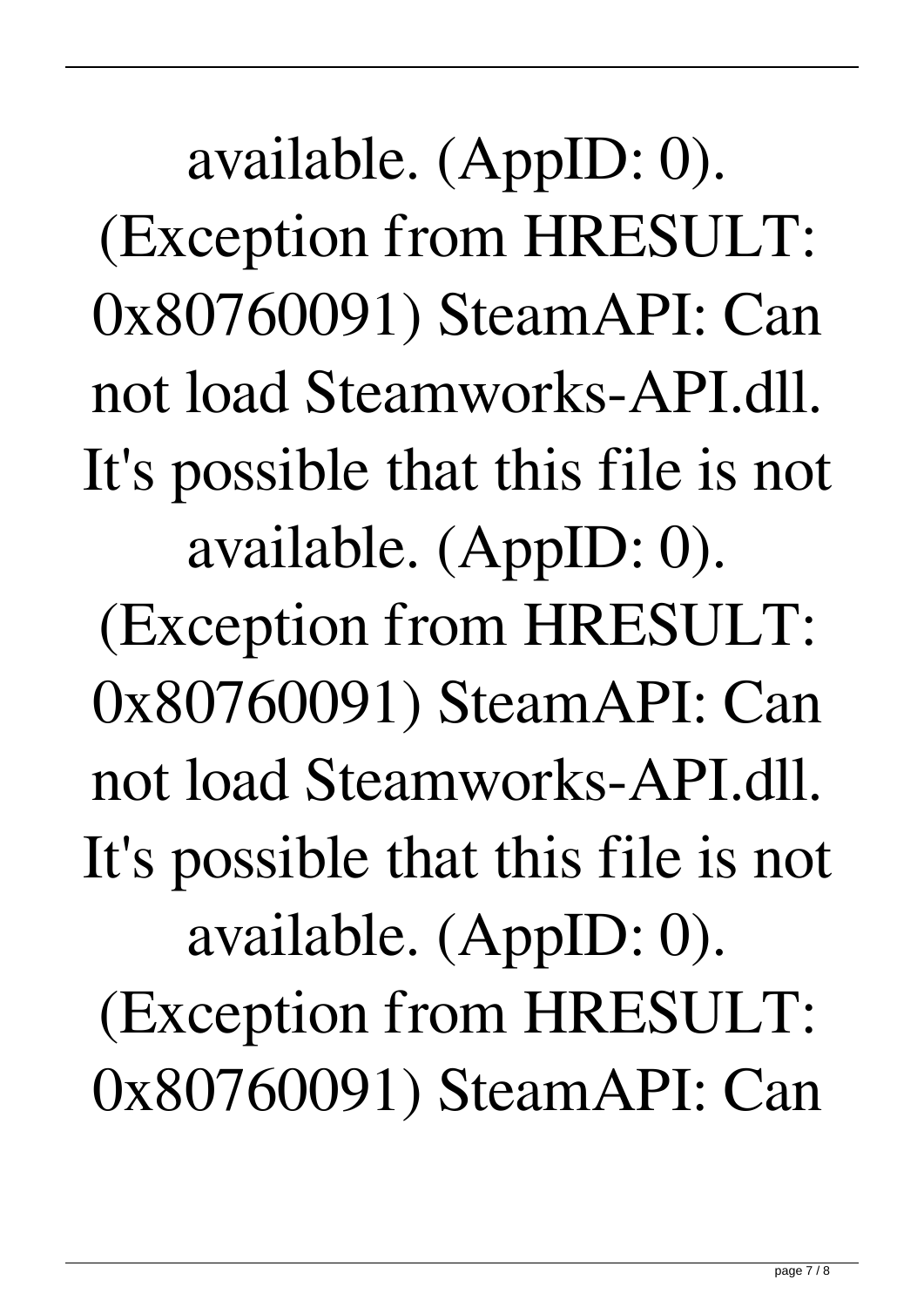available. (AppID: 0). (Exception from HRESULT: 0x80760091) SteamAPI: Can not load Steamworks-API.dll. It's possible that this file is not available. (AppID: 0). (Exception from HRESULT: 0x80760091) SteamAPI: Can not load Steamworks-API.dll. It's possible that this file is not available. (AppID: 0). (Exception from HRESULT: 0x80760091) SteamAPI: Can